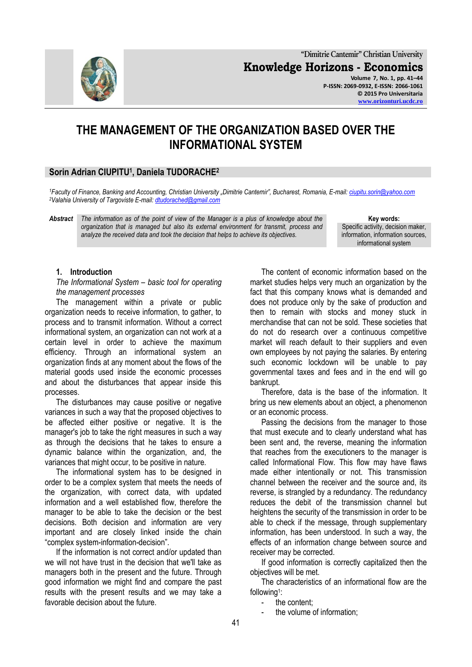

# **THE MANAGEMENT OF THE ORGANIZATION BASED OVER THE INFORMATIONAL SYSTEM**

## **Sorin Adrian CIUPITU<sup>1</sup> , Daniela TUDORACHE<sup>2</sup>**

*<sup>1</sup>Faculty of Finance, Banking and Accounting, Christian University "Dimitrie Cantemir", Bucharest, Romania, E-mail[: ciupitu.sorin@yahoo.com](mailto:ciupitu.sorin@yahoo.com) <sup>2</sup>Valahia University of Targoviste E-mail[: dtudorached@gmail.com](mailto:dtudorached@gmail.com)*

*Abstract The information as of the point of view of the Manager is a plus of knowledge about the organization that is managed but also its external environment for transmit, process and analyze the received data and took the decision that helps to achieve its objectives.*

**Key words:** Specific activity, decision maker, information, information sources, informational system

**[www.orizonturi.ucdc.ro](http://www.orizonturi.ucdc.ro/)**

#### **1. Introduction**

*The Informational System – basic tool for operating the management processes*

The management within a private or public organization needs to receive information, to gather, to process and to transmit information. Without a correct informational system, an organization can not work at a certain level in order to achieve the maximum efficiency. Through an informational system an organization finds at any moment about the flows of the material goods used inside the economic processes and about the disturbances that appear inside this processes.

The disturbances may cause positive or negative variances in such a way that the proposed objectives to be affected either positive or negative. It is the manager's job to take the right measures in such a way as through the decisions that he takes to ensure a dynamic balance within the organization, and, the variances that might occur, to be positive in nature.

The informational system has to be designed in order to be a complex system that meets the needs of the organization, with correct data, with updated information and a well established flow, therefore the manager to be able to take the decision or the best decisions. Both decision and information are very important and are closely linked inside the chain "complex system-information-decision".

If the information is not correct and/or updated than we will not have trust in the decision that we'll take as managers both in the present and the future. Through good information we might find and compare the past results with the present results and we may take a favorable decision about the future.

The content of economic information based on the market studies helps very much an organization by the fact that this company knows what is demanded and does not produce only by the sake of production and then to remain with stocks and money stuck in merchandise that can not be sold. These societies that do not do research over a continuous competitive market will reach default to their suppliers and even own employees by not paying the salaries. By entering such economic lockdown will be unable to pay governmental taxes and fees and in the end will go bankrupt.

Therefore, data is the base of the information. It bring us new elements about an object, a phenomenon or an economic process.

Passing the decisions from the manager to those that must execute and to clearly understand what has been sent and, the reverse, meaning the information that reaches from the executioners to the manager is called Informational Flow. This flow may have flaws made either intentionally or not. This transmission channel between the receiver and the source and, its reverse, is strangled by a redundancy. The redundancy reduces the debit of the transmission channel but heightens the security of the transmission in order to be able to check if the message, through supplementary information, has been understood. In such a way, the effects of an information change between source and receiver may be corrected.

If good information is correctly capitalized then the objectives will be met.

The characteristics of an informational flow are the following<sup>1</sup>:

- the content;

the volume of information;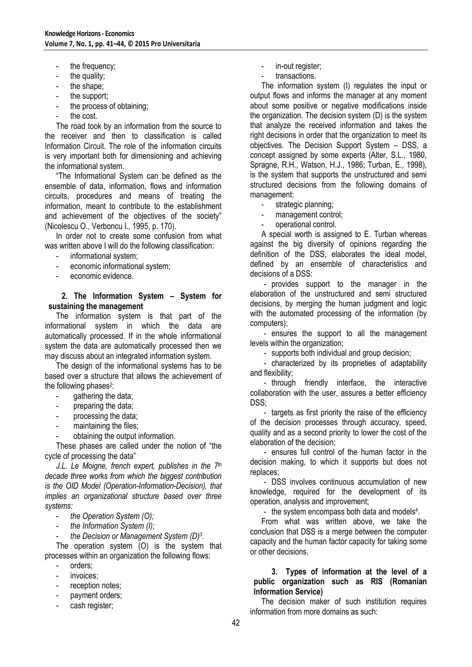- the frequency;
- the quality;
- the shape;
- the support;
- the process of obtaining;
- the cost.

The road took by an information from the source to the receiver and then to classification is called Information Circuit. The role of the information circuits is very important both for dimensioning and achieving the informational system.

"The Informational System can be defined as the ensemble of data, information, flows and information circuits, procedures and means of treating the information, meant to contribute to the establishment and achievement of the objectives of the society" (Nicolescu O., Verboncu I., 1995, p. 170).

In order not to create some confusion from what was written above I will do the following classification:

- informational system;
- economic informational system;
- economic evidence.

**2. The Information System – System for sustaining the management**

The information system is that part of the informational system in which the data are automatically processed. If in the whole informational system the data are automatically processed then we may discuss about an integrated information system.

The design of the informational systems has to be based over a structure that allows the achievement of the following phases<sup>2</sup>:

- gathering the data;
- preparing the data;
- processing the data;
- maintaining the files;
- obtaining the output information.

These phases are called under the notion of "the cycle of processing the data"

*J.L. Le Moigne, french expert, publishes in the 7th decade three works from which the biggest contribution is the OID Model (Operation-Information-Decision), that implies an organizational structure based over three systems:*

- *the Operation System (O);*
- *the Information System (I);*
- *the Decision or Management System (D)<sup>3</sup> .*

The operation system (O) is the system that processes within an organization the following flows:

- orders:
- invoices:
- reception notes;
- payment orders;
- cash register;
- in-out register;
- transactions.

The information system (I) regulates the input or output flows and informs the manager at any moment about some positive or negative modifications inside the organization. The decision system (D) is the system that analyze the received information and takes the right decisions in order that the organization to meet its objectives. The Decision Support System – DSS, a concept assigned by some experts (Alter, S.L., 1980, Spragne, R.H., Watson, H.J., 1986; Turban, E., 1998), is the system that supports the unstructured and semi structured decisions from the following domains of management:

- strategic planning;
- management control;
- operational control.

A special worth is assigned to E. Turban whereas against the big diversity of opinions regarding the definition of the DSS, elaborates the ideal model, defined by an ensemble of characteristics and decisions of a DSS:

- provides support to the manager in the elaboration of the unstructured and semi structured decisions, by merging the human judgment and logic with the automated processing of the information (by computers);

- ensures the support to all the management levels within the organization;

- supports both individual and group decision;

- characterized by its proprieties of adaptability and flexibility;

- through friendly interface, the interactive collaboration with the user, assures a better efficiency DSS;

- targets as first priority the raise of the efficiency of the decision processes through accuracy, speed, quality and as a second priority to lower the cost of the elaboration of the decision;

- ensures full control of the human factor in the decision making, to which it supports but does not replaces;

- DSS involves continuous accumulation of new knowledge, required for the development of its operation, analysis and improvement;

- the system encompass both data and models<sup>4</sup>.

From what was written above, we take the conclusion that DSS is a merge between the computer capacity and the human factor capacity for taking some or other decisions.

## **3. Types of information at the level of a public organization such as RIS (Romanian Information Service)**

The decision maker of such institution requires information from more domains as such: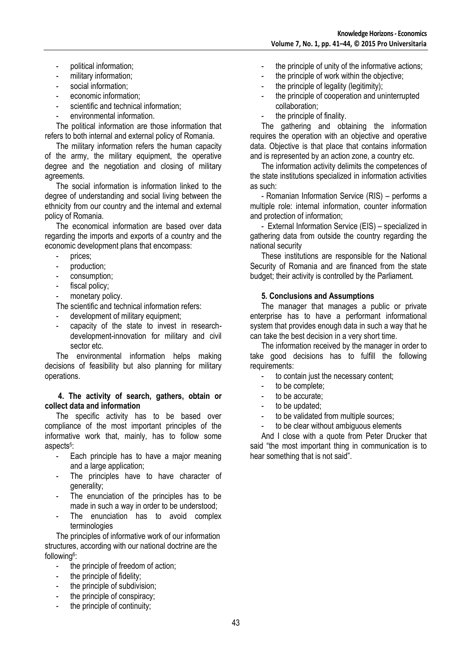- political information;
- military information;
- social information;
- economic information:
- scientific and technical information;
- environmental information.

The political information are those information that refers to both internal and external policy of Romania.

The military information refers the human capacity of the army, the military equipment, the operative degree and the negotiation and closing of military agreements.

The social information is information linked to the degree of understanding and social living between the ethnicity from our country and the internal and external policy of Romania.

The economical information are based over data regarding the imports and exports of a country and the economic development plans that encompass:

- prices;
- production:
- consumption;
- fiscal policy;
- monetary policy.

The scientific and technical information refers:

- development of military equipment;
- capacity of the state to invest in researchdevelopment-innovation for military and civil sector etc.

The environmental information helps making decisions of feasibility but also planning for military operations.

### **4. The activity of search, gathers, obtain or collect data and information**

The specific activity has to be based over compliance of the most important principles of the informative work that, mainly, has to follow some aspects<sup>5</sup>:

- Each principle has to have a major meaning and a large application;
- The principles have to have character of generality;
- The enunciation of the principles has to be made in such a way in order to be understood;
- The enunciation has to avoid complex terminologies

The principles of informative work of our information structures, according with our national doctrine are the following<sup>6</sup>:

- the principle of freedom of action;
- the principle of fidelity;
- the principle of subdivision:
- the principle of conspiracy;
- the principle of continuity;
- the principle of unity of the informative actions;
- the principle of work within the objective;
- the principle of legality (legitimity);
- the principle of cooperation and uninterrupted collaboration;
- the principle of finality.

The gathering and obtaining the information requires the operation with an objective and operative data. Objective is that place that contains information and is represented by an action zone, a country etc.

The information activity delimits the competences of the state institutions specialized in information activities as such:

- Romanian Information Service (RIS) – performs a multiple role: internal information, counter information and protection of information;

- External Information Service (EIS) – specialized in gathering data from outside the country regarding the national security

These institutions are responsible for the National Security of Romania and are financed from the state budget; their activity is controlled by the Parliament.

## **5. Conclusions and Assumptions**

The manager that manages a public or private enterprise has to have a performant informational system that provides enough data in such a way that he can take the best decision in a very short time.

The information received by the manager in order to take good decisions has to fulfill the following requirements:

- to contain just the necessary content;
- to be complete;
- to be accurate:
- to be updated;
- to be validated from multiple sources;
- to be clear without ambiguous elements

And I close with a quote from Peter Drucker that said "the most important thing in communication is to hear something that is not said".